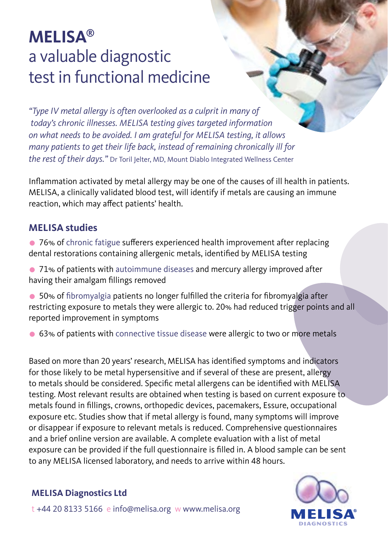# **MELISA®** a valuable diagnostic test in functional medicine

*"Type IV metal allergy is often overlooked as a culprit in many of today's chronic illnesses. MELISA testing gives targeted information on what needs to be avoided. I am grateful for MELISA testing, it allows many patients to get their life back, instead of remaining chronically ill for the rest of their days."* Dr Toril Jelter, MD, Mount Diablo Integrated Wellness Center

Inflammation activated by metal allergy may be one of the causes of ill health in patients. MELISA, a clinically validated blood test, will identify if metals are causing an immune reaction, which may affect patients' health.

#### **MELISA studies**

- 76% of chronic fatigue sufferers experienced health improvement after replacing dental restorations containing allergenic metals, identified by MELISA testing
- 71% of patients with autoimmune diseases and mercury allergy improved after having their amalgam fillings removed
- 50% of fibromyalgia patients no longer fulfilled the criteria for fibromyalgia after restricting exposure to metals they were allergic to. 20% had reduced trigger points and all reported improvement in symptoms
- 63% of patients with connective tissue disease were allergic to two or more metals

Based on more than 20 years' research, MELISA has identified symptoms and indicators for those likely to be metal hypersensitive and if several of these are present, allergy to metals should be considered. Specific metal allergens can be identified with MELISA testing. Most relevant results are obtained when testing is based on current exposure to metals found in fillings, crowns, orthopedic devices, pacemakers, Essure, occupational exposure etc. Studies show that if metal allergy is found, many symptoms will improve or disappear if exposure to relevant metals is reduced. Comprehensive questionnaires and a brief online version are available. A complete evaluation with a list of metal exposure can be provided if the full questionnaire is filled in. A blood sample can be sent to any MELISA licensed laboratory, and needs to arrive within 48 hours.

#### **MELISA Diagnostics Ltd**



t +44 20 8133 5166 e info@melisa.org w www.melisa.org